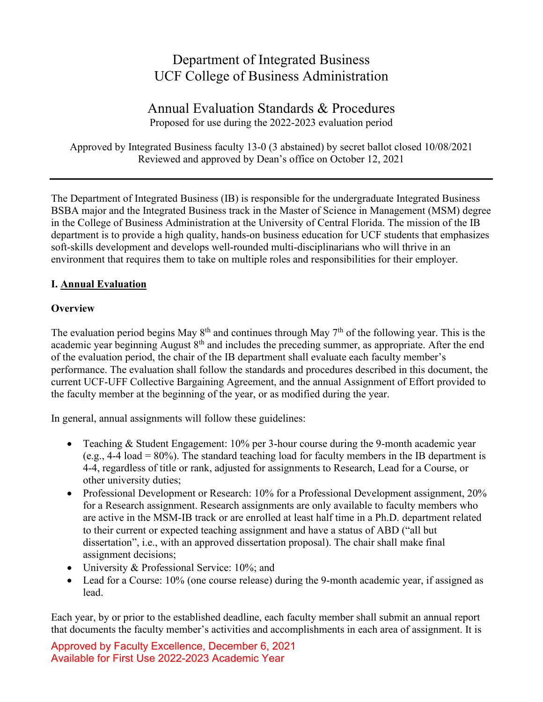# Department of Integrated Business UCF College of Business Administration

# Annual Evaluation Standards & Procedures Proposed for use during the 2022-2023 evaluation period

Approved by Integrated Business faculty 13-0 (3 abstained) by secret ballot closed 10/08/2021 Reviewed and approved by Dean's office on October 12, 2021

The Department of Integrated Business (IB) is responsible for the undergraduate Integrated Business BSBA major and the Integrated Business track in the Master of Science in Management (MSM) degree in the College of Business Administration at the University of Central Florida. The mission of the IB department is to provide a high quality, hands-on business education for UCF students that emphasizes soft-skills development and develops well-rounded multi-disciplinarians who will thrive in an environment that requires them to take on multiple roles and responsibilities for their employer.

## **I. Annual Evaluation**

#### **Overview**

The evaluation period begins May  $8<sup>th</sup>$  and continues through May  $7<sup>th</sup>$  of the following year. This is the academic year beginning August 8<sup>th</sup> and includes the preceding summer, as appropriate. After the end of the evaluation period, the chair of the IB department shall evaluate each faculty member's performance. The evaluation shall follow the standards and procedures described in this document, the current UCF-UFF Collective Bargaining Agreement, and the annual Assignment of Effort provided to the faculty member at the beginning of the year, or as modified during the year.

In general, annual assignments will follow these guidelines:

- Teaching & Student Engagement: 10% per 3-hour course during the 9-month academic year (e.g.,  $4-4$  load =  $80\%$ ). The standard teaching load for faculty members in the IB department is 4-4, regardless of title or rank, adjusted for assignments to Research, Lead for a Course, or other university duties;
- Professional Development or Research: 10% for a Professional Development assignment, 20% for a Research assignment. Research assignments are only available to faculty members who are active in the MSM-IB track or are enrolled at least half time in a Ph.D. department related to their current or expected teaching assignment and have a status of ABD ("all but dissertation", i.e., with an approved dissertation proposal). The chair shall make final assignment decisions;
- University & Professional Service: 10%; and
- Lead for a Course: 10% (one course release) during the 9-month academic year, if assigned as lead.

Each year, by or prior to the established deadline, each faculty member shall submit an annual report that documents the faculty member's activities and accomplishments in each area of assignment. It is

Approved by Faculty Excellence, December 6, 2021 Available for First Use 2022-2023 Academic Year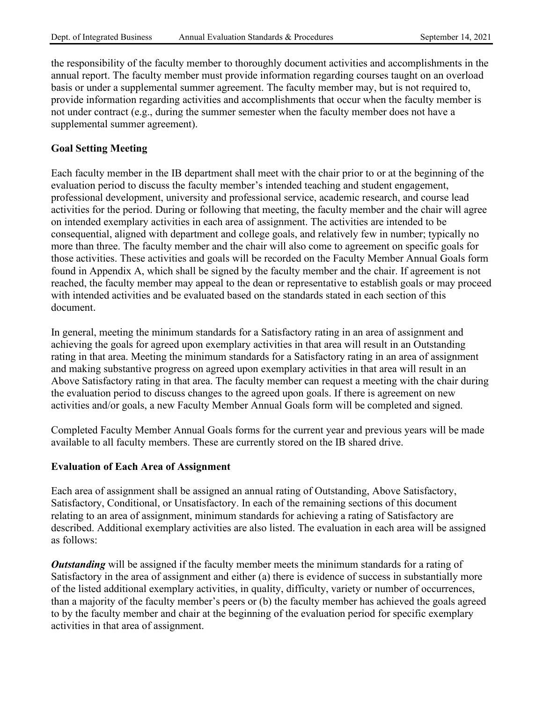the responsibility of the faculty member to thoroughly document activities and accomplishments in the annual report. The faculty member must provide information regarding courses taught on an overload basis or under a supplemental summer agreement. The faculty member may, but is not required to, provide information regarding activities and accomplishments that occur when the faculty member is not under contract (e.g., during the summer semester when the faculty member does not have a supplemental summer agreement).

#### **Goal Setting Meeting**

Each faculty member in the IB department shall meet with the chair prior to or at the beginning of the evaluation period to discuss the faculty member's intended teaching and student engagement, professional development, university and professional service, academic research, and course lead activities for the period. During or following that meeting, the faculty member and the chair will agree on intended exemplary activities in each area of assignment. The activities are intended to be consequential, aligned with department and college goals, and relatively few in number; typically no more than three. The faculty member and the chair will also come to agreement on specific goals for those activities. These activities and goals will be recorded on the Faculty Member Annual Goals form found in Appendix A, which shall be signed by the faculty member and the chair. If agreement is not reached, the faculty member may appeal to the dean or representative to establish goals or may proceed with intended activities and be evaluated based on the standards stated in each section of this document.

In general, meeting the minimum standards for a Satisfactory rating in an area of assignment and achieving the goals for agreed upon exemplary activities in that area will result in an Outstanding rating in that area. Meeting the minimum standards for a Satisfactory rating in an area of assignment and making substantive progress on agreed upon exemplary activities in that area will result in an Above Satisfactory rating in that area. The faculty member can request a meeting with the chair during the evaluation period to discuss changes to the agreed upon goals. If there is agreement on new activities and/or goals, a new Faculty Member Annual Goals form will be completed and signed.

Completed Faculty Member Annual Goals forms for the current year and previous years will be made available to all faculty members. These are currently stored on the IB shared drive.

#### **Evaluation of Each Area of Assignment**

Each area of assignment shall be assigned an annual rating of Outstanding, Above Satisfactory, Satisfactory, Conditional, or Unsatisfactory. In each of the remaining sections of this document relating to an area of assignment, minimum standards for achieving a rating of Satisfactory are described. Additional exemplary activities are also listed. The evaluation in each area will be assigned as follows:

*Outstanding* will be assigned if the faculty member meets the minimum standards for a rating of Satisfactory in the area of assignment and either (a) there is evidence of success in substantially more of the listed additional exemplary activities, in quality, difficulty, variety or number of occurrences, than a majority of the faculty member's peers or (b) the faculty member has achieved the goals agreed to by the faculty member and chair at the beginning of the evaluation period for specific exemplary activities in that area of assignment.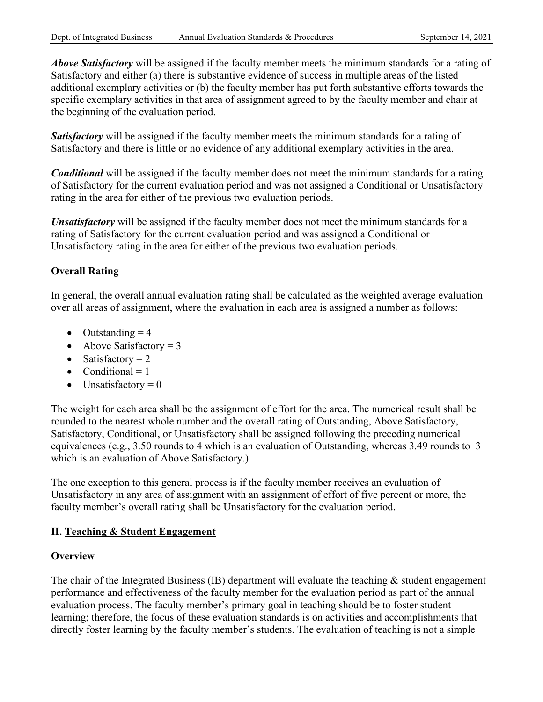*Above Satisfactory* will be assigned if the faculty member meets the minimum standards for a rating of Satisfactory and either (a) there is substantive evidence of success in multiple areas of the listed additional exemplary activities or (b) the faculty member has put forth substantive efforts towards the specific exemplary activities in that area of assignment agreed to by the faculty member and chair at the beginning of the evaluation period.

**Satisfactory** will be assigned if the faculty member meets the minimum standards for a rating of Satisfactory and there is little or no evidence of any additional exemplary activities in the area.

*Conditional* will be assigned if the faculty member does not meet the minimum standards for a rating of Satisfactory for the current evaluation period and was not assigned a Conditional or Unsatisfactory rating in the area for either of the previous two evaluation periods.

*Unsatisfactory* will be assigned if the faculty member does not meet the minimum standards for a rating of Satisfactory for the current evaluation period and was assigned a Conditional or Unsatisfactory rating in the area for either of the previous two evaluation periods.

## **Overall Rating**

In general, the overall annual evaluation rating shall be calculated as the weighted average evaluation over all areas of assignment, where the evaluation in each area is assigned a number as follows:

- Outstanding  $= 4$
- Above Satisfactory  $= 3$
- Satisfactory  $= 2$
- Conditional  $= 1$
- Unsatisfactory  $= 0$

The weight for each area shall be the assignment of effort for the area. The numerical result shall be rounded to the nearest whole number and the overall rating of Outstanding, Above Satisfactory, Satisfactory, Conditional, or Unsatisfactory shall be assigned following the preceding numerical equivalences (e.g., 3.50 rounds to 4 which is an evaluation of Outstanding, whereas 3.49 rounds to 3 which is an evaluation of Above Satisfactory.)

The one exception to this general process is if the faculty member receives an evaluation of Unsatisfactory in any area of assignment with an assignment of effort of five percent or more, the faculty member's overall rating shall be Unsatisfactory for the evaluation period.

#### **II. Teaching & Student Engagement**

#### **Overview**

The chair of the Integrated Business (IB) department will evaluate the teaching  $\&$  student engagement performance and effectiveness of the faculty member for the evaluation period as part of the annual evaluation process. The faculty member's primary goal in teaching should be to foster student learning; therefore, the focus of these evaluation standards is on activities and accomplishments that directly foster learning by the faculty member's students. The evaluation of teaching is not a simple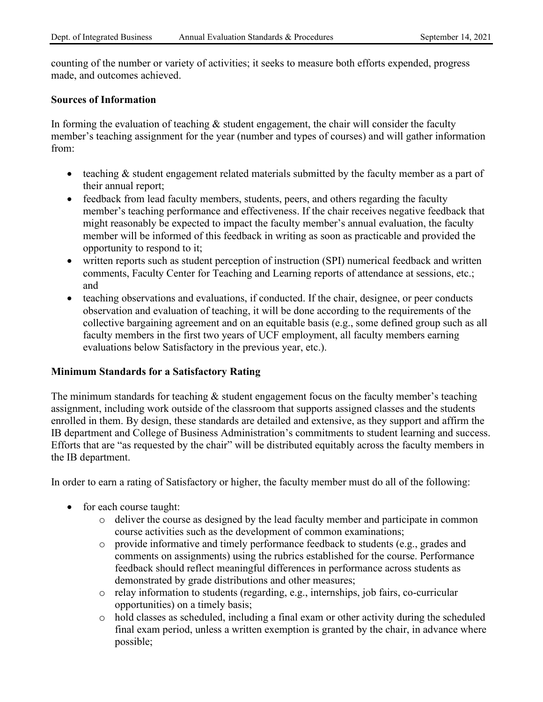counting of the number or variety of activities; it seeks to measure both efforts expended, progress made, and outcomes achieved.

#### **Sources of Information**

In forming the evaluation of teaching  $\&$  student engagement, the chair will consider the faculty member's teaching assignment for the year (number and types of courses) and will gather information from:

- teaching & student engagement related materials submitted by the faculty member as a part of their annual report;
- feedback from lead faculty members, students, peers, and others regarding the faculty member's teaching performance and effectiveness. If the chair receives negative feedback that might reasonably be expected to impact the faculty member's annual evaluation, the faculty member will be informed of this feedback in writing as soon as practicable and provided the opportunity to respond to it;
- written reports such as student perception of instruction (SPI) numerical feedback and written comments, Faculty Center for Teaching and Learning reports of attendance at sessions, etc.; and
- teaching observations and evaluations, if conducted. If the chair, designee, or peer conducts observation and evaluation of teaching, it will be done according to the requirements of the collective bargaining agreement and on an equitable basis (e.g., some defined group such as all faculty members in the first two years of UCF employment, all faculty members earning evaluations below Satisfactory in the previous year, etc.).

#### **Minimum Standards for a Satisfactory Rating**

The minimum standards for teaching  $\&$  student engagement focus on the faculty member's teaching assignment, including work outside of the classroom that supports assigned classes and the students enrolled in them. By design, these standards are detailed and extensive, as they support and affirm the IB department and College of Business Administration's commitments to student learning and success. Efforts that are "as requested by the chair" will be distributed equitably across the faculty members in the IB department.

In order to earn a rating of Satisfactory or higher, the faculty member must do all of the following:

- for each course taught:
	- o deliver the course as designed by the lead faculty member and participate in common course activities such as the development of common examinations;
	- o provide informative and timely performance feedback to students (e.g., grades and comments on assignments) using the rubrics established for the course. Performance feedback should reflect meaningful differences in performance across students as demonstrated by grade distributions and other measures;
	- o relay information to students (regarding, e.g., internships, job fairs, co-curricular opportunities) on a timely basis;
	- o hold classes as scheduled, including a final exam or other activity during the scheduled final exam period, unless a written exemption is granted by the chair, in advance where possible;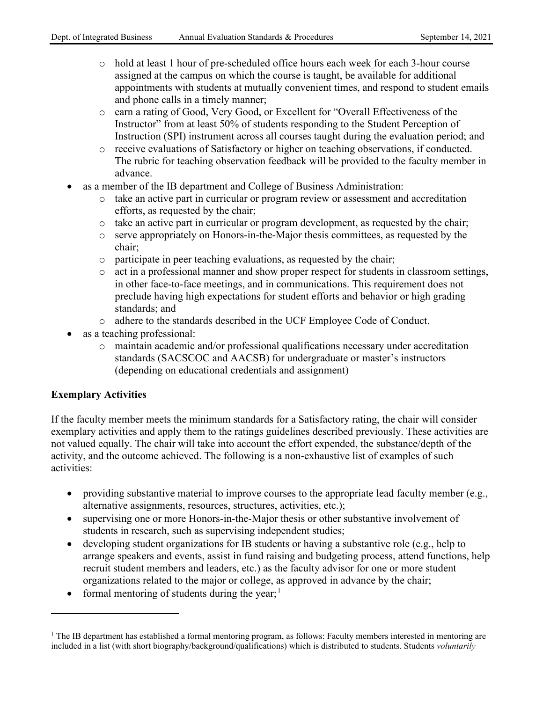- o hold at least 1 hour of pre-scheduled office hours each week for each 3-hour course assigned at the campus on which the course is taught, be available for additional appointments with students at mutually convenient times, and respond to student emails and phone calls in a timely manner;
- o earn a rating of Good, Very Good, or Excellent for "Overall Effectiveness of the Instructor" from at least 50% of students responding to the Student Perception of Instruction (SPI) instrument across all courses taught during the evaluation period; and
- o receive evaluations of Satisfactory or higher on teaching observations, if conducted. The rubric for teaching observation feedback will be provided to the faculty member in advance.
- as a member of the IB department and College of Business Administration:
	- $\circ$  take an active part in curricular or program review or assessment and accreditation efforts, as requested by the chair;
	- o take an active part in curricular or program development, as requested by the chair;
	- o serve appropriately on Honors-in-the-Major thesis committees, as requested by the chair;
	- o participate in peer teaching evaluations, as requested by the chair;
	- o act in a professional manner and show proper respect for students in classroom settings, in other face-to-face meetings, and in communications. This requirement does not preclude having high expectations for student efforts and behavior or high grading standards; and
	- o adhere to the standards described in the UCF Employee Code of Conduct.
- as a teaching professional:
	- o maintain academic and/or professional qualifications necessary under accreditation standards (SACSCOC and AACSB) for undergraduate or master's instructors (depending on educational credentials and assignment)

## **Exemplary Activities**

If the faculty member meets the minimum standards for a Satisfactory rating, the chair will consider exemplary activities and apply them to the ratings guidelines described previously. These activities are not valued equally. The chair will take into account the effort expended, the substance/depth of the activity, and the outcome achieved. The following is a non-exhaustive list of examples of such activities:

- providing substantive material to improve courses to the appropriate lead faculty member (e.g., alternative assignments, resources, structures, activities, etc.);
- supervising one or more Honors-in-the-Major thesis or other substantive involvement of students in research, such as supervising independent studies;
- developing student organizations for IB students or having a substantive role (e.g., help to arrange speakers and events, assist in fund raising and budgeting process, attend functions, help recruit student members and leaders, etc.) as the faculty advisor for one or more student organizations related to the major or college, as approved in advance by the chair;
- formal mentoring of students during the year;<sup>[1](#page-4-0)</sup>

<span id="page-4-0"></span> $1$  The IB department has established a formal mentoring program, as follows: Faculty members interested in mentoring are included in a list (with short biography/background/qualifications) which is distributed to students. Students *voluntarily*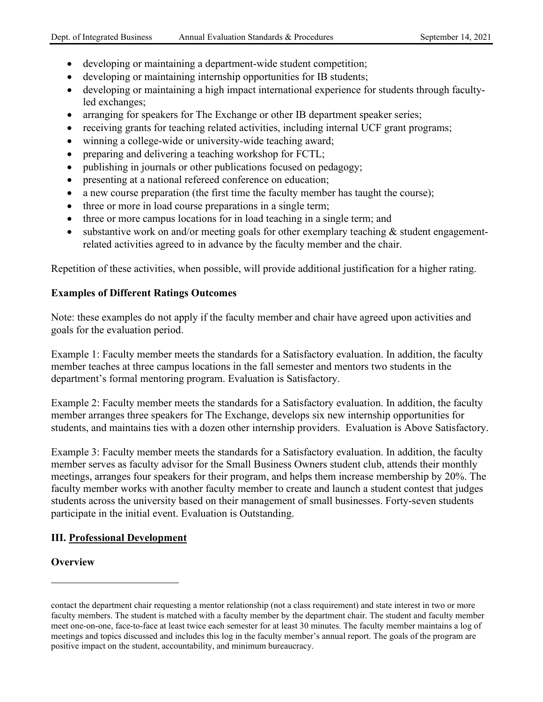- developing or maintaining a department-wide student competition;
- developing or maintaining internship opportunities for IB students;
- developing or maintaining a high impact international experience for students through facultyled exchanges;
- arranging for speakers for The Exchange or other IB department speaker series;
- receiving grants for teaching related activities, including internal UCF grant programs;
- winning a college-wide or university-wide teaching award;
- preparing and delivering a teaching workshop for FCTL;
- publishing in journals or other publications focused on pedagogy;
- presenting at a national refereed conference on education;
- a new course preparation (the first time the faculty member has taught the course);
- three or more in load course preparations in a single term;
- three or more campus locations for in load teaching in a single term; and
- substantive work on and/or meeting goals for other exemplary teaching & student engagementrelated activities agreed to in advance by the faculty member and the chair.

Repetition of these activities, when possible, will provide additional justification for a higher rating.

#### **Examples of Different Ratings Outcomes**

Note: these examples do not apply if the faculty member and chair have agreed upon activities and goals for the evaluation period.

Example 1: Faculty member meets the standards for a Satisfactory evaluation. In addition, the faculty member teaches at three campus locations in the fall semester and mentors two students in the department's formal mentoring program. Evaluation is Satisfactory.

Example 2: Faculty member meets the standards for a Satisfactory evaluation. In addition, the faculty member arranges three speakers for The Exchange, develops six new internship opportunities for students, and maintains ties with a dozen other internship providers. Evaluation is Above Satisfactory.

Example 3: Faculty member meets the standards for a Satisfactory evaluation. In addition, the faculty member serves as faculty advisor for the Small Business Owners student club, attends their monthly meetings, arranges four speakers for their program, and helps them increase membership by 20%. The faculty member works with another faculty member to create and launch a student contest that judges students across the university based on their management of small businesses. Forty-seven students participate in the initial event. Evaluation is Outstanding.

#### **III. Professional Development**

#### **Overview**

contact the department chair requesting a mentor relationship (not a class requirement) and state interest in two or more faculty members. The student is matched with a faculty member by the department chair. The student and faculty member meet one-on-one, face-to-face at least twice each semester for at least 30 minutes. The faculty member maintains a log of meetings and topics discussed and includes this log in the faculty member's annual report. The goals of the program are positive impact on the student, accountability, and minimum bureaucracy.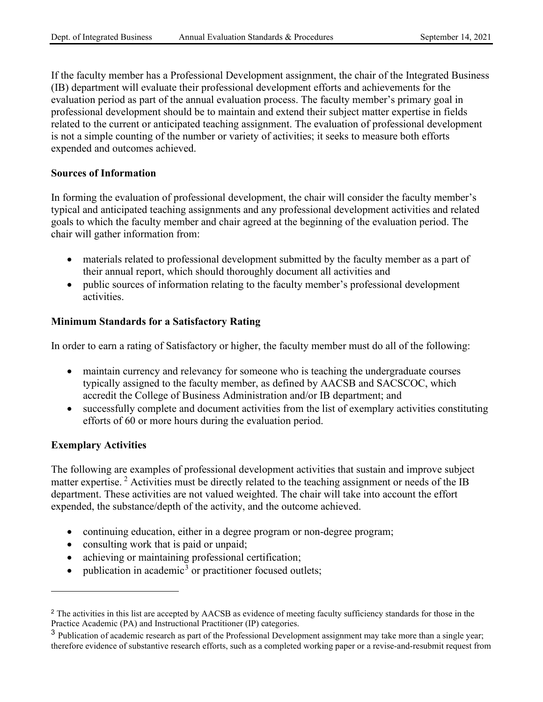If the faculty member has a Professional Development assignment, the chair of the Integrated Business (IB) department will evaluate their professional development efforts and achievements for the evaluation period as part of the annual evaluation process. The faculty member's primary goal in professional development should be to maintain and extend their subject matter expertise in fields related to the current or anticipated teaching assignment. The evaluation of professional development is not a simple counting of the number or variety of activities; it seeks to measure both efforts expended and outcomes achieved.

#### **Sources of Information**

In forming the evaluation of professional development, the chair will consider the faculty member's typical and anticipated teaching assignments and any professional development activities and related goals to which the faculty member and chair agreed at the beginning of the evaluation period. The chair will gather information from:

- materials related to professional development submitted by the faculty member as a part of their annual report, which should thoroughly document all activities and
- public sources of information relating to the faculty member's professional development activities.

#### **Minimum Standards for a Satisfactory Rating**

In order to earn a rating of Satisfactory or higher, the faculty member must do all of the following:

- maintain currency and relevancy for someone who is teaching the undergraduate courses typically assigned to the faculty member, as defined by AACSB and SACSCOC, which accredit the College of Business Administration and/or IB department; and
- successfully complete and document activities from the list of exemplary activities constituting efforts of 60 or more hours during the evaluation period.

#### **Exemplary Activities**

The following are examples of professional development activities that sustain and improve subject matter expertise.<sup>[2](#page-6-0)</sup> Activities must be directly related to the teaching assignment or needs of the IB department. These activities are not valued weighted. The chair will take into account the effort expended, the substance/depth of the activity, and the outcome achieved.

- continuing education, either in a degree program or non-degree program;
- consulting work that is paid or unpaid;
- achieving or maintaining professional certification;
- publication in academic<sup>[3](#page-6-1)</sup> or practitioner focused outlets;

<span id="page-6-0"></span><sup>&</sup>lt;sup>2</sup> The activities in this list are accepted by AACSB as evidence of meeting faculty sufficiency standards for those in the Practice Academic (PA) and Instructional Practitioner (IP) categories.

<span id="page-6-1"></span> $3$  Publication of academic research as part of the Professional Development assignment may take more than a single year; therefore evidence of substantive research efforts, such as a completed working paper or a revise-and-resubmit request from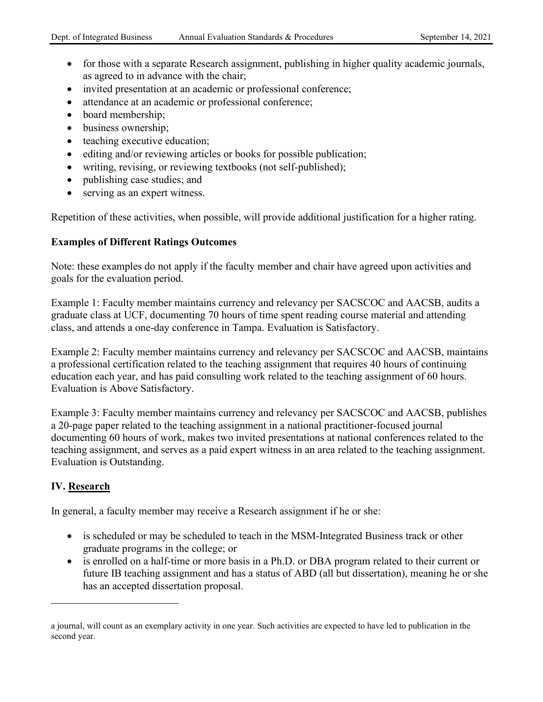- for those with a separate Research assignment, publishing in higher quality academic journals, as agreed to in advance with the chair;
- invited presentation at an academic or professional conference;
- attendance at an academic or professional conference;
- board membership;
- business ownership;
- teaching executive education;
- editing and/or reviewing articles or books for possible publication;
- writing, revising, or reviewing textbooks (not self-published);
- publishing case studies; and
- serving as an expert witness.

Repetition of these activities, when possible, will provide additional justification for a higher rating.

## **Examples of Different Ratings Outcomes**

Note: these examples do not apply if the faculty member and chair have agreed upon activities and goals for the evaluation period.

Example 1: Faculty member maintains currency and relevancy per SACSCOC and AACSB, audits a graduate class at UCF, documenting 70 hours of time spent reading course material and attending class, and attends a one-day conference in Tampa. Evaluation is Satisfactory.

Example 2: Faculty member maintains currency and relevancy per SACSCOC and AACSB, maintains a professional certification related to the teaching assignment that requires 40 hours of continuing education each year, and has paid consulting work related to the teaching assignment of 60 hours. Evaluation is Above Satisfactory.

Example 3: Faculty member maintains currency and relevancy per SACSCOC and AACSB, publishes a 20-page paper related to the teaching assignment in a national practitioner-focused journal documenting 60 hours of work, makes two invited presentations at national conferences related to the teaching assignment, and serves as a paid expert witness in an area related to the teaching assignment. Evaluation is Outstanding.

## **IV. Research**

In general, a faculty member may receive a Research assignment if he or she:

- is scheduled or may be scheduled to teach in the MSM-Integrated Business track or other graduate programs in the college; or
- is enrolled on a half-time or more basis in a Ph.D. or DBA program related to their current or future IB teaching assignment and has a status of ABD (all but dissertation), meaning he or she has an accepted dissertation proposal.

a journal, will count as an exemplary activity in one year. Such activities are expected to have led to publication in the second year.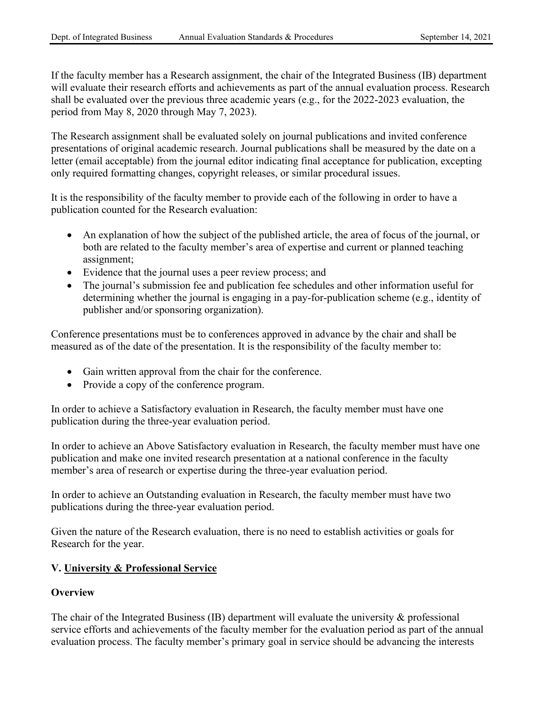If the faculty member has a Research assignment, the chair of the Integrated Business (IB) department will evaluate their research efforts and achievements as part of the annual evaluation process. Research shall be evaluated over the previous three academic years (e.g., for the 2022-2023 evaluation, the period from May 8, 2020 through May 7, 2023).

The Research assignment shall be evaluated solely on journal publications and invited conference presentations of original academic research. Journal publications shall be measured by the date on a letter (email acceptable) from the journal editor indicating final acceptance for publication, excepting only required formatting changes, copyright releases, or similar procedural issues.

It is the responsibility of the faculty member to provide each of the following in order to have a publication counted for the Research evaluation:

- An explanation of how the subject of the published article, the area of focus of the journal, or both are related to the faculty member's area of expertise and current or planned teaching assignment;
- Evidence that the journal uses a peer review process; and
- The journal's submission fee and publication fee schedules and other information useful for determining whether the journal is engaging in a pay-for-publication scheme (e.g., identity of publisher and/or sponsoring organization).

Conference presentations must be to conferences approved in advance by the chair and shall be measured as of the date of the presentation. It is the responsibility of the faculty member to:

- Gain written approval from the chair for the conference.
- Provide a copy of the conference program.

In order to achieve a Satisfactory evaluation in Research, the faculty member must have one publication during the three-year evaluation period.

In order to achieve an Above Satisfactory evaluation in Research, the faculty member must have one publication and make one invited research presentation at a national conference in the faculty member's area of research or expertise during the three-year evaluation period.

In order to achieve an Outstanding evaluation in Research, the faculty member must have two publications during the three-year evaluation period.

Given the nature of the Research evaluation, there is no need to establish activities or goals for Research for the year.

## **V. University & Professional Service**

#### **Overview**

The chair of the Integrated Business (IB) department will evaluate the university & professional service efforts and achievements of the faculty member for the evaluation period as part of the annual evaluation process. The faculty member's primary goal in service should be advancing the interests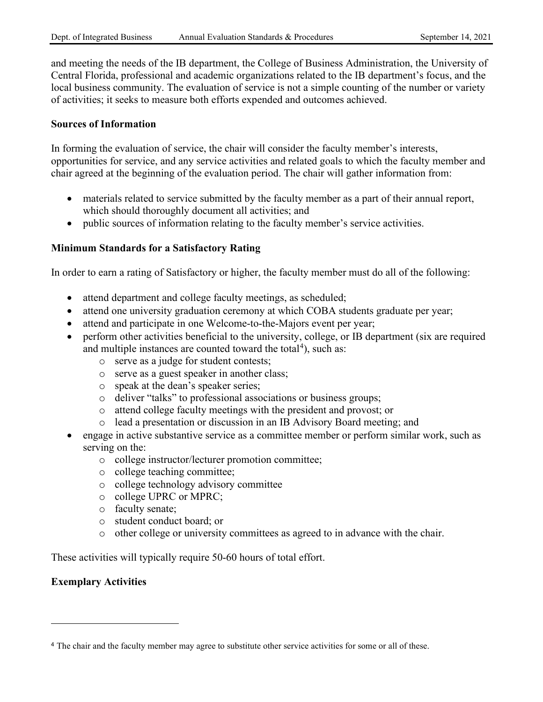and meeting the needs of the IB department, the College of Business Administration, the University of Central Florida, professional and academic organizations related to the IB department's focus, and the local business community. The evaluation of service is not a simple counting of the number or variety of activities; it seeks to measure both efforts expended and outcomes achieved.

#### **Sources of Information**

In forming the evaluation of service, the chair will consider the faculty member's interests, opportunities for service, and any service activities and related goals to which the faculty member and chair agreed at the beginning of the evaluation period. The chair will gather information from:

- materials related to service submitted by the faculty member as a part of their annual report, which should thoroughly document all activities; and
- public sources of information relating to the faculty member's service activities.

#### **Minimum Standards for a Satisfactory Rating**

In order to earn a rating of Satisfactory or higher, the faculty member must do all of the following:

- attend department and college faculty meetings, as scheduled;
- attend one university graduation ceremony at which COBA students graduate per year;
- attend and participate in one Welcome-to-the-Majors event per year;
- perform other activities beneficial to the university, college, or IB department (six are required and multiple instances are counted toward the total<sup>[4](#page-9-0)</sup>), such as:
	- o serve as a judge for student contests;
	- o serve as a guest speaker in another class;
	- o speak at the dean's speaker series;
	- o deliver "talks" to professional associations or business groups;
	- o attend college faculty meetings with the president and provost; or
	- o lead a presentation or discussion in an IB Advisory Board meeting; and
- engage in active substantive service as a committee member or perform similar work, such as serving on the:
	- o college instructor/lecturer promotion committee;
	- o college teaching committee;
	- o college technology advisory committee
	- o college UPRC or MPRC;
	- o faculty senate;
	- o student conduct board; or
	- o other college or university committees as agreed to in advance with the chair.

These activities will typically require 50-60 hours of total effort.

#### **Exemplary Activities**

<span id="page-9-0"></span><sup>4</sup> The chair and the faculty member may agree to substitute other service activities for some or all of these.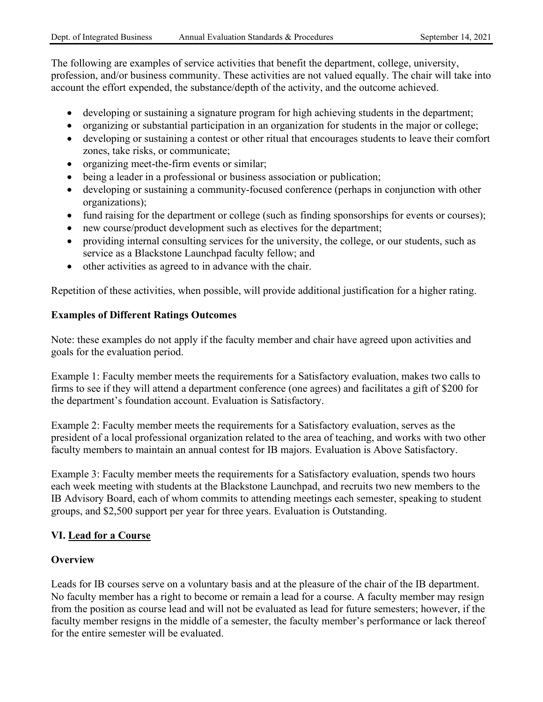The following are examples of service activities that benefit the department, college, university, profession, and/or business community. These activities are not valued equally. The chair will take into account the effort expended, the substance/depth of the activity, and the outcome achieved.

- developing or sustaining a signature program for high achieving students in the department;
- organizing or substantial participation in an organization for students in the major or college;
- developing or sustaining a contest or other ritual that encourages students to leave their comfort zones, take risks, or communicate;
- organizing meet-the-firm events or similar;
- being a leader in a professional or business association or publication;
- developing or sustaining a community-focused conference (perhaps in conjunction with other organizations);
- fund raising for the department or college (such as finding sponsorships for events or courses);
- new course/product development such as electives for the department;
- providing internal consulting services for the university, the college, or our students, such as service as a Blackstone Launchpad faculty fellow; and
- other activities as agreed to in advance with the chair.

Repetition of these activities, when possible, will provide additional justification for a higher rating.

## **Examples of Different Ratings Outcomes**

Note: these examples do not apply if the faculty member and chair have agreed upon activities and goals for the evaluation period.

Example 1: Faculty member meets the requirements for a Satisfactory evaluation, makes two calls to firms to see if they will attend a department conference (one agrees) and facilitates a gift of \$200 for the department's foundation account. Evaluation is Satisfactory.

Example 2: Faculty member meets the requirements for a Satisfactory evaluation, serves as the president of a local professional organization related to the area of teaching, and works with two other faculty members to maintain an annual contest for IB majors. Evaluation is Above Satisfactory.

Example 3: Faculty member meets the requirements for a Satisfactory evaluation, spends two hours each week meeting with students at the Blackstone Launchpad, and recruits two new members to the IB Advisory Board, each of whom commits to attending meetings each semester, speaking to student groups, and \$2,500 support per year for three years. Evaluation is Outstanding.

#### **VI. Lead for a Course**

#### **Overview**

Leads for IB courses serve on a voluntary basis and at the pleasure of the chair of the IB department. No faculty member has a right to become or remain a lead for a course. A faculty member may resign from the position as course lead and will not be evaluated as lead for future semesters; however, if the faculty member resigns in the middle of a semester, the faculty member's performance or lack thereof for the entire semester will be evaluated.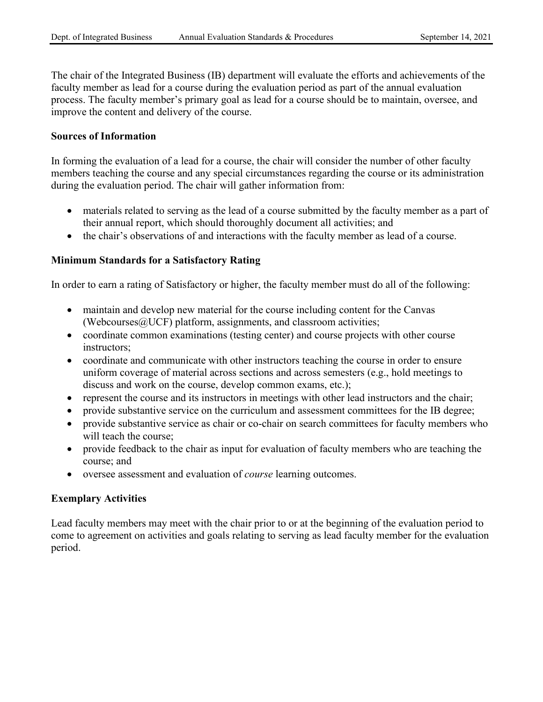The chair of the Integrated Business (IB) department will evaluate the efforts and achievements of the faculty member as lead for a course during the evaluation period as part of the annual evaluation process. The faculty member's primary goal as lead for a course should be to maintain, oversee, and improve the content and delivery of the course.

#### **Sources of Information**

In forming the evaluation of a lead for a course, the chair will consider the number of other faculty members teaching the course and any special circumstances regarding the course or its administration during the evaluation period. The chair will gather information from:

- materials related to serving as the lead of a course submitted by the faculty member as a part of their annual report, which should thoroughly document all activities; and
- the chair's observations of and interactions with the faculty member as lead of a course.

#### **Minimum Standards for a Satisfactory Rating**

In order to earn a rating of Satisfactory or higher, the faculty member must do all of the following:

- maintain and develop new material for the course including content for the Canvas (Webcourses $@$ UCF) platform, assignments, and classroom activities;
- coordinate common examinations (testing center) and course projects with other course instructors;
- coordinate and communicate with other instructors teaching the course in order to ensure uniform coverage of material across sections and across semesters (e.g., hold meetings to discuss and work on the course, develop common exams, etc.);
- represent the course and its instructors in meetings with other lead instructors and the chair;
- provide substantive service on the curriculum and assessment committees for the IB degree;
- provide substantive service as chair or co-chair on search committees for faculty members who will teach the course;
- provide feedback to the chair as input for evaluation of faculty members who are teaching the course; and
- oversee assessment and evaluation of *course* learning outcomes.

#### **Exemplary Activities**

Lead faculty members may meet with the chair prior to or at the beginning of the evaluation period to come to agreement on activities and goals relating to serving as lead faculty member for the evaluation period.